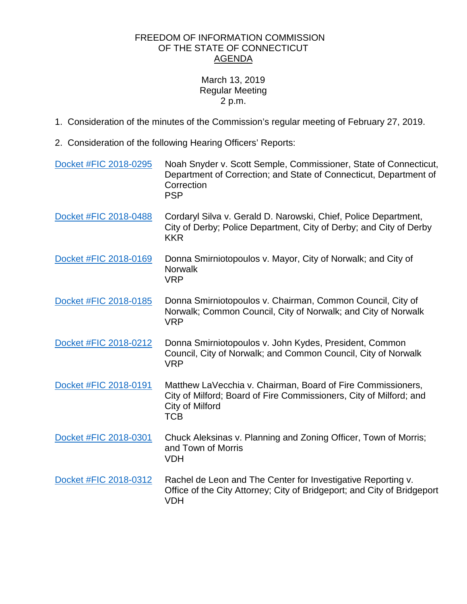## FREEDOM OF INFORMATION COMMISSION OF THE STATE OF CONNECTICUT AGENDA

## March 13, 2019 Regular Meeting 2 p.m.

- 1. Consideration of the minutes of the Commission's regular meeting of February 27, 2019.
- 2. Consideration of the following Hearing Officers' Reports:

| Docket #FIC 2018-0295 | Noah Snyder v. Scott Semple, Commissioner, State of Connecticut,<br>Department of Correction; and State of Connecticut, Department of<br>Correction<br><b>PSP</b>  |
|-----------------------|--------------------------------------------------------------------------------------------------------------------------------------------------------------------|
| Docket #FIC 2018-0488 | Cordaryl Silva v. Gerald D. Narowski, Chief, Police Department,<br>City of Derby; Police Department, City of Derby; and City of Derby<br><b>KKR</b>                |
| Docket #FIC 2018-0169 | Donna Smirniotopoulos v. Mayor, City of Norwalk; and City of<br><b>Norwalk</b><br><b>VRP</b>                                                                       |
| Docket #FIC 2018-0185 | Donna Smirniotopoulos v. Chairman, Common Council, City of<br>Norwalk; Common Council, City of Norwalk; and City of Norwalk<br><b>VRP</b>                          |
| Docket #FIC 2018-0212 | Donna Smirniotopoulos v. John Kydes, President, Common<br>Council, City of Norwalk; and Common Council, City of Norwalk<br><b>VRP</b>                              |
| Docket #FIC 2018-0191 | Matthew LaVecchia v. Chairman, Board of Fire Commissioners,<br>City of Milford; Board of Fire Commissioners, City of Milford; and<br>City of Milford<br><b>TCB</b> |
| Docket #FIC 2018-0301 | Chuck Aleksinas v. Planning and Zoning Officer, Town of Morris;<br>and Town of Morris<br><b>VDH</b>                                                                |
| Docket #FIC 2018-0312 | Rachel de Leon and The Center for Investigative Reporting v.<br>Office of the City Attorney; City of Bridgeport; and City of Bridgeport<br><b>VDH</b>              |